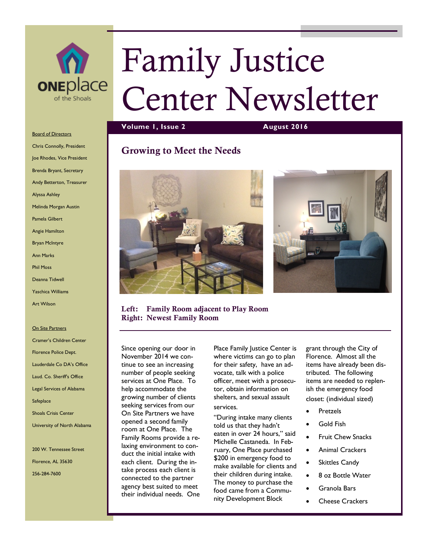

# Family Justice Center Newsletter

**Volume 1, Issue 2 August 2016** 

## **Growing to Meet the Needs**





### **Left: Family Room adjacent to Play Room Right: Newest Family Room**

Since opening our door in November 2014 we continue to see an increasing number of people seeking services at One Place. To help accommodate the growing number of clients seeking services from our On Site Partners we have opened a second family room at One Place. The Family Rooms provide a relaxing environment to conduct the initial intake with each client. During the intake process each client is connected to the partner agency best suited to meet their individual needs. One Place Family Justice Center is where victims can go to plan for their safety, have an advocate, talk with a police officer, meet with a prosecutor, obtain information on shelters, and sexual assault services.

"During intake many clients told us that they hadn't eaten in over 24 hours," said Michelle Castaneda. In February, One Place purchased \$200 in emergency food to make available for clients and their children during intake. The money to purchase the food came from a Community Development Block

grant through the City of Florence. Almost all the items have already been distributed. The following items are needed to replenish the emergency food closet: (individual sized)

- Pretzels
- Gold Fish
- Fruit Chew Snacks
- Animal Crackers
- Skittles Candy
- 8 oz Bottle Water
- Granola Bars
- Cheese Crackers

Board of Directors Chris Connolly, President

- Joe Rhodes, Vice President
- Brenda Bryant, Secretary
- Andy Betterton, Treasurer
- Alyssa Ashley

Melinda Morgan Austin

- Pamela Gilbert
- Angie Hamilton
- Bryan McIntyre
- Ann Marks
- Phil Moss
- Deanna Tidwell
- Yaschica Williams
- Art Wilson

#### On Site Partners

Cramer's Children Center Florence Police Dept. Lauderdale Co DA's Office Laud. Co. Sheriff's Office Legal Services of Alabama **Safeplace** Shoals Crisis Center University of North Alabama

200 W. Tennessee Street Florence, AL 35630 256-284-7600